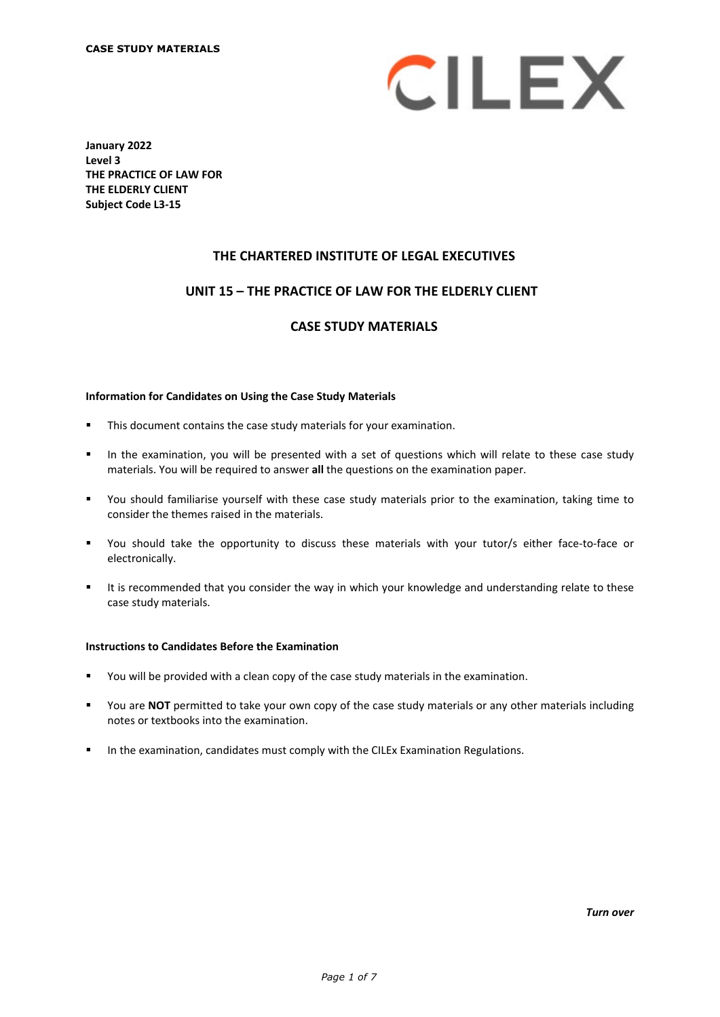

**January 2022 Level 3 THE PRACTICE OF LAW FOR THE ELDERLY CLIENT Subject Code L3-15**

# **THE CHARTERED INSTITUTE OF LEGAL EXECUTIVES**

# **UNIT 15 – THE PRACTICE OF LAW FOR THE ELDERLY CLIENT\***

# **CASE STUDY MATERIALS**

#### **Information for Candidates on Using the Case Study Materials**

- This document contains the case study materials for your examination.
- In the examination, you will be presented with a set of questions which will relate to these case study materials. You will be required to answer **all** the questions on the examination paper.
- You should familiarise yourself with these case study materials prior to the examination, taking time to consider the themes raised in the materials.
- You should take the opportunity to discuss these materials with your tutor/s either face-to-face or electronically.
- It is recommended that you consider the way in which your knowledge and understanding relate to these case study materials.

### **Instructions to Candidates Before the Examination**

- You will be provided with a clean copy of the case study materials in the examination.
- You are **NOT** permitted to take your own copy of the case study materials or any other materials including notes or textbooks into the examination.
- In the examination, candidates must comply with the CILEx Examination Regulations.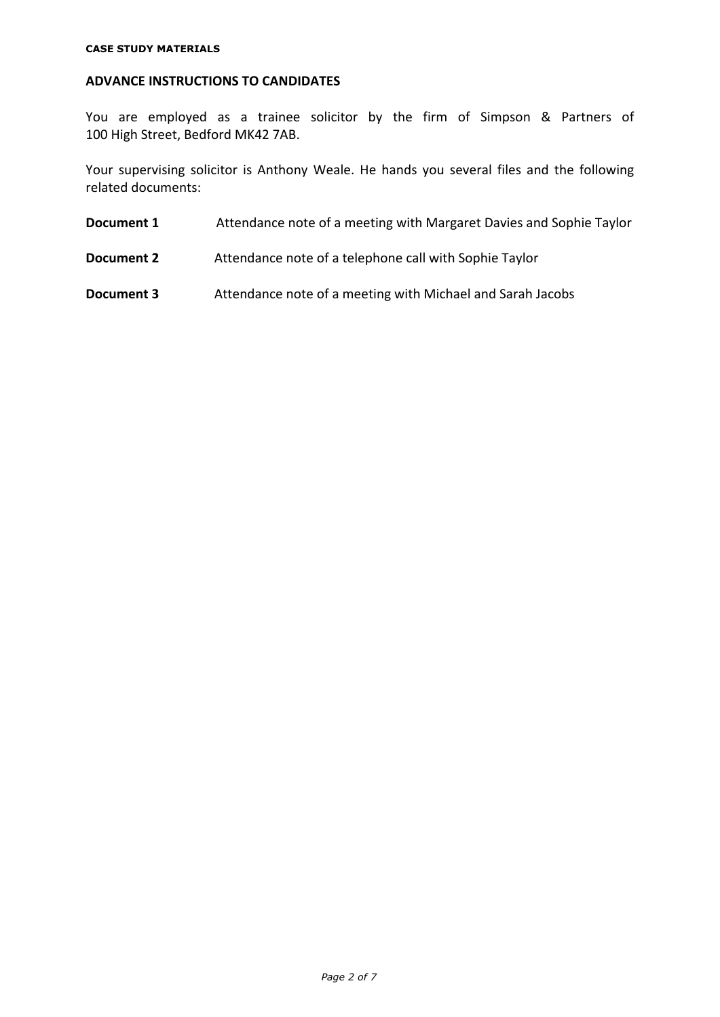# **ADVANCE INSTRUCTIONS TO CANDIDATES**

You are employed as a trainee solicitor by the firm of Simpson & Partners of 100 High Street, Bedford MK42 7AB.

Your supervising solicitor is Anthony Weale. He hands you several files and the following related documents:

- **Document 1** Attendance note of a meeting with Margaret Davies and Sophie Taylor
- **Document 2** Attendance note of a telephone call with Sophie Taylor

**Document 3** Attendance note of a meeting with Michael and Sarah Jacobs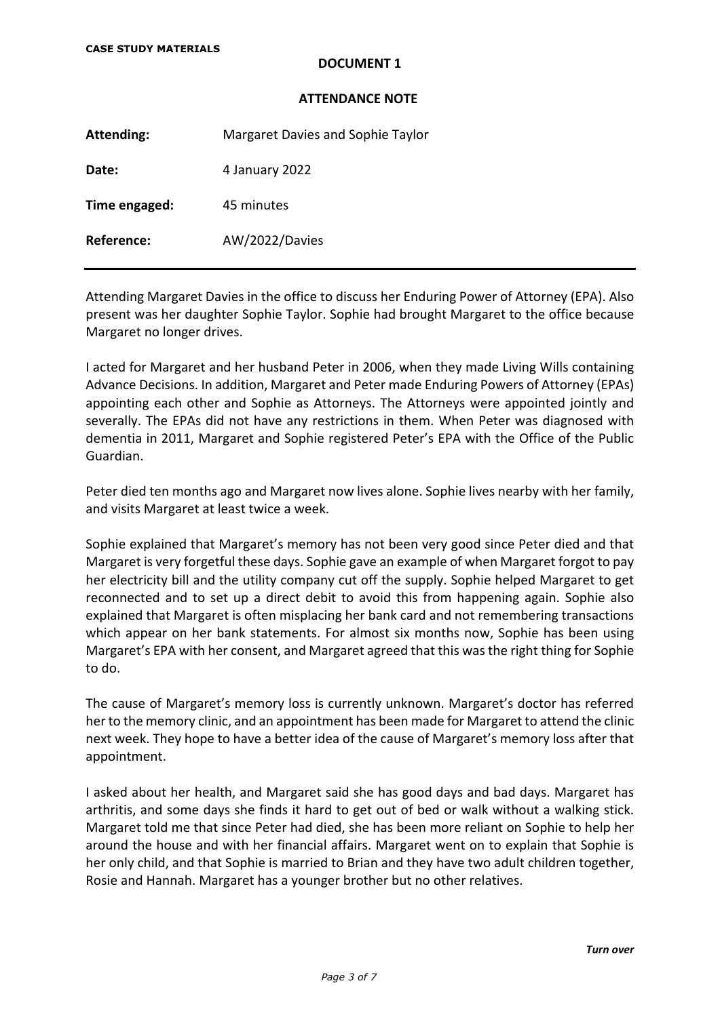# **DOCUMENT 1**

### **ATTENDANCE NOTE**

**Attending:** Margaret Davies and Sophie Taylor Date: 4 January 2022 **Time engaged:** 45 minutes **Reference:** AW/2022/Davies

Attending Margaret Davies in the office to discuss her Enduring Power of Attorney (EPA). Also present was her daughter Sophie Taylor. Sophie had brought Margaret to the office because Margaret no longer drives.

I acted for Margaret and her husband Peter in 2006, when they made Living Wills containing Advance Decisions. In addition, Margaret and Peter made Enduring Powers of Attorney (EPAs) appointing each other and Sophie as Attorneys. The Attorneys were appointed jointly and severally. The EPAs did not have any restrictions in them. When Peter was diagnosed with dementia in 2011, Margaret and Sophie registered Peter's EPA with the Office of the Public Guardian.

Peter died ten months ago and Margaret now lives alone. Sophie lives nearby with her family, and visits Margaret at least twice a week.

Sophie explained that Margaret's memory has not been very good since Peter died and that Margaret is very forgetful these days. Sophie gave an example of when Margaret forgot to pay her electricity bill and the utility company cut off the supply. Sophie helped Margaret to get reconnected and to set up a direct debit to avoid this from happening again. Sophie also explained that Margaret is often misplacing her bank card and not remembering transactions which appear on her bank statements. For almost six months now, Sophie has been using Margaret's EPA with her consent, and Margaret agreed that this was the right thing for Sophie to do.

The cause of Margaret's memory loss is currently unknown. Margaret's doctor has referred her to the memory clinic, and an appointment has been made for Margaret to attend the clinic next week. They hope to have a better idea of the cause of Margaret's memory loss after that appointment.

I asked about her health, and Margaret said she has good days and bad days. Margaret has arthritis, and some days she finds it hard to get out of bed or walk without a walking stick. Margaret told me that since Peter had died, she has been more reliant on Sophie to help her around the house and with her financial affairs. Margaret went on to explain that Sophie is her only child, and that Sophie is married to Brian and they have two adult children together, Rosie and Hannah. Margaret has a younger brother but no other relatives.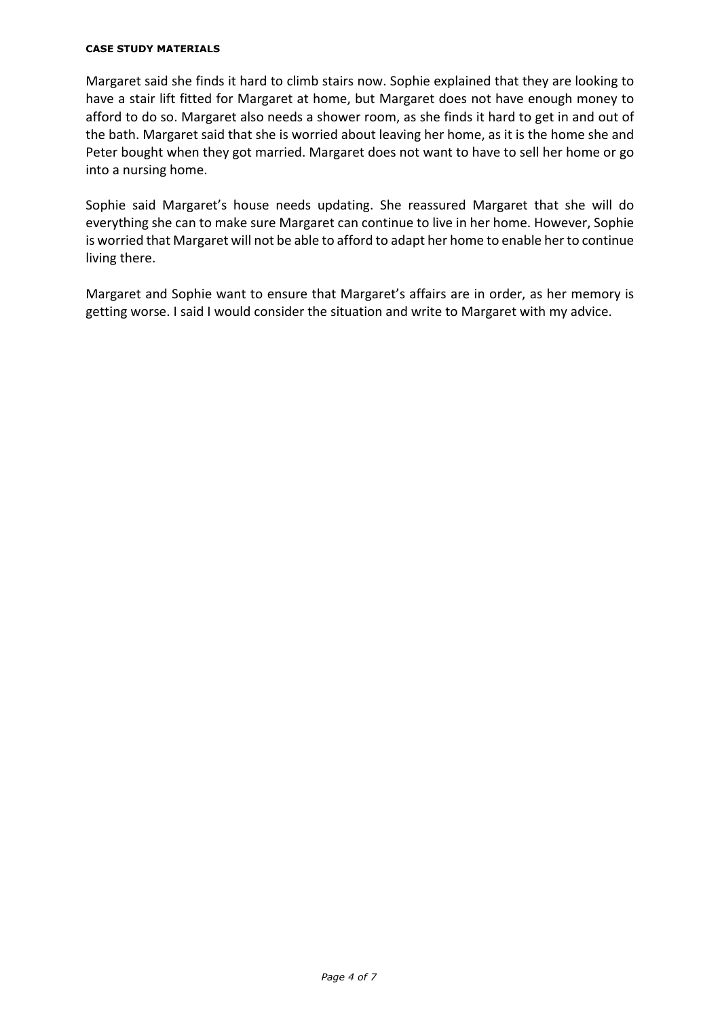### **CASE STUDY MATERIALS**

Margaret said she finds it hard to climb stairs now. Sophie explained that they are looking to have a stair lift fitted for Margaret at home, but Margaret does not have enough money to afford to do so. Margaret also needs a shower room, as she finds it hard to get in and out of the bath. Margaret said that she is worried about leaving her home, as it is the home she and Peter bought when they got married. Margaret does not want to have to sell her home or go into a nursing home.

Sophie said Margaret's house needs updating. She reassured Margaret that she will do everything she can to make sure Margaret can continue to live in her home. However, Sophie is worried that Margaret will not be able to afford to adapt her home to enable her to continue living there.

Margaret and Sophie want to ensure that Margaret's affairs are in order, as her memory is getting worse. I said I would consider the situation and write to Margaret with my advice.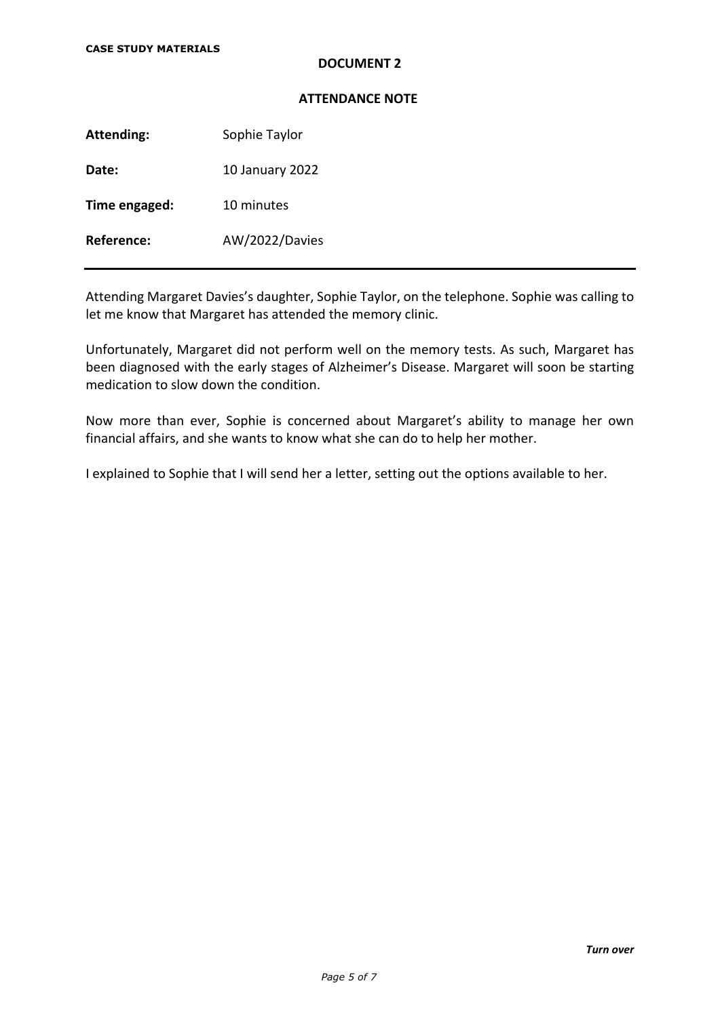# **DOCUMENT 2**

### **ATTENDANCE NOTE**

Attending: Sophie Taylor

**Date:** 10 January 2022

**Time engaged:** 10 minutes

**Reference:** AW/2022/Davies

Attending Margaret Davies's daughter, Sophie Taylor, on the telephone. Sophie was calling to let me know that Margaret has attended the memory clinic.

Unfortunately, Margaret did not perform well on the memory tests. As such, Margaret has been diagnosed with the early stages of Alzheimer's Disease. Margaret will soon be starting medication to slow down the condition.

Now more than ever, Sophie is concerned about Margaret's ability to manage her own financial affairs, and she wants to know what she can do to help her mother.

I explained to Sophie that I will send her a letter, setting out the options available to her.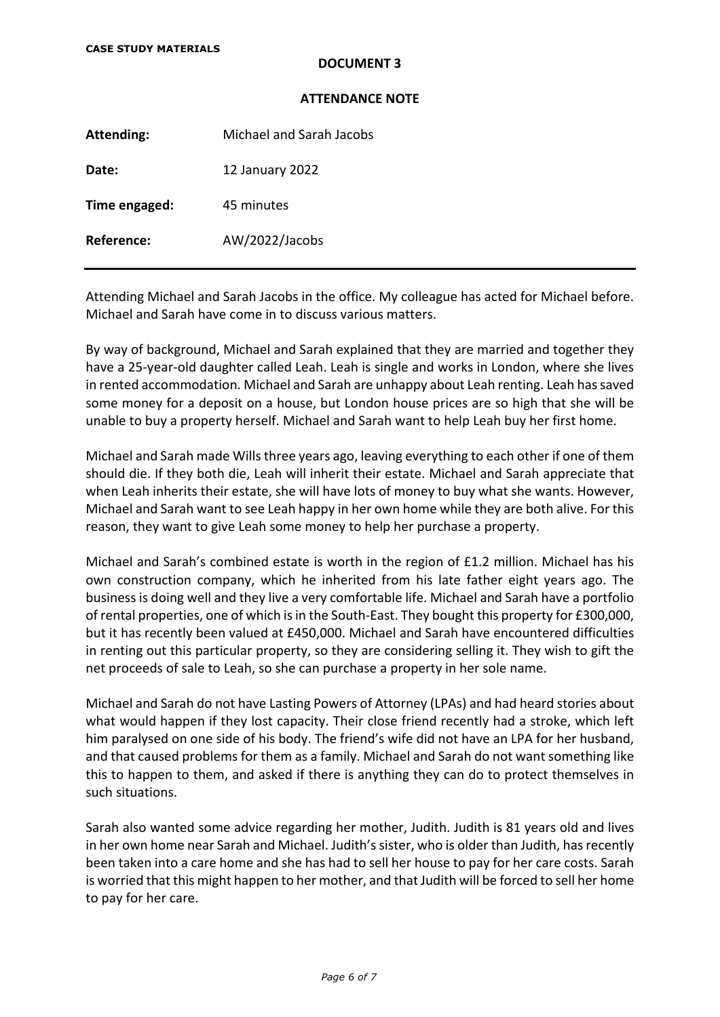# **DOCUMENT 3**

### **ATTENDANCE NOTE**

**Attending:** Michael and Sarah Jacobs **Date:** 12 January 2022 **Time engaged:** 45 minutes **Reference:** AW/2022/Jacobs

Attending Michael and Sarah Jacobs in the office. My colleague has acted for Michael before. Michael and Sarah have come in to discuss various matters.

By way of background, Michael and Sarah explained that they are married and together they have a 25-year-old daughter called Leah. Leah is single and works in London, where she lives in rented accommodation. Michael and Sarah are unhappy about Leah renting. Leah has saved some money for a deposit on a house, but London house prices are so high that she will be unable to buy a property herself. Michael and Sarah want to help Leah buy her first home.

Michael and Sarah made Wills three years ago, leaving everything to each other if one of them should die. If they both die, Leah will inherit their estate. Michael and Sarah appreciate that when Leah inherits their estate, she will have lots of money to buy what she wants. However, Michael and Sarah want to see Leah happy in her own home while they are both alive. For this reason, they want to give Leah some money to help her purchase a property.

Michael and Sarah's combined estate is worth in the region of £1.2 million. Michael has his own construction company, which he inherited from his late father eight years ago. The business is doing well and they live a very comfortable life. Michael and Sarah have a portfolio of rental properties, one of which is in the South-East. They bought this property for £300,000, but it has recently been valued at £450,000. Michael and Sarah have encountered difficulties in renting out this particular property, so they are considering selling it. They wish to gift the net proceeds of sale to Leah, so she can purchase a property in her sole name.

Michael and Sarah do not have Lasting Powers of Attorney (LPAs) and had heard stories about what would happen if they lost capacity. Their close friend recently had a stroke, which left him paralysed on one side of his body. The friend's wife did not have an LPA for her husband, and that caused problems for them as a family. Michael and Sarah do not want something like this to happen to them, and asked if there is anything they can do to protect themselves in such situations.

Sarah also wanted some advice regarding her mother, Judith. Judith is 81 years old and lives in her own home near Sarah and Michael. Judith's sister, who is older than Judith, has recently been taken into a care home and she has had to sell her house to pay for her care costs. Sarah is worried that this might happen to her mother, and that Judith will be forced to sell her home to pay for her care.